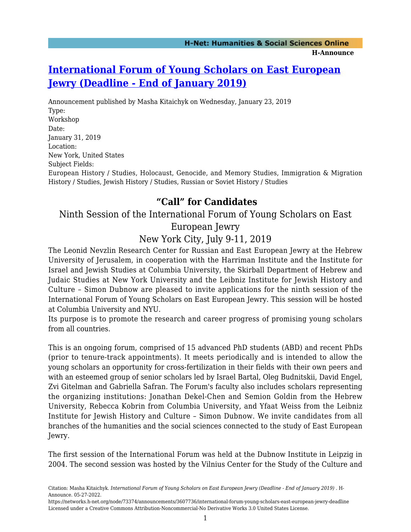## **[International Forum of Young Scholars on East European](https://networks.h-net.org/node/73374/announcements/3607736/international-forum-young-scholars-east-european-jewry-deadline) [Jewry \(Deadline - End of January 2019\)](https://networks.h-net.org/node/73374/announcements/3607736/international-forum-young-scholars-east-european-jewry-deadline)**

Announcement published by Masha Kitaichyk on Wednesday, January 23, 2019 Type: Workshop Date: January 31, 2019 Location: New York, United States Subject Fields: European History / Studies, Holocaust, Genocide, and Memory Studies, Immigration & Migration History / Studies, Jewish History / Studies, Russian or Soviet History / Studies

### **"Call" for Candidates**

# Ninth Session of the International Forum of Young Scholars on East

European Jewry

New York City, July 9-11, 2019

The Leonid Nevzlin Research Center for Russian and East European Jewry at the Hebrew University of Jerusalem, in cooperation with the Harriman Institute and the Institute for Israel and Jewish Studies at Columbia University, the Skirball Department of Hebrew and Judaic Studies at New York University and the Leibniz Institute for Jewish History and Culture – Simon Dubnow are pleased to invite applications for the ninth session of the International Forum of Young Scholars on East European Jewry. This session will be hosted at Columbia University and NYU.

Its purpose is to promote the research and career progress of promising young scholars from all countries.

This is an ongoing forum, comprised of 15 advanced PhD students (ABD) and recent PhDs (prior to tenure-track appointments). It meets periodically and is intended to allow the young scholars an opportunity for cross-fertilization in their fields with their own peers and with an esteemed group of senior scholars led by Israel Bartal, Oleg Budnitskii, David Engel, Zvi Gitelman and Gabriella Safran. The Forum's faculty also includes scholars representing the organizing institutions: Jonathan Dekel-Chen and Semion Goldin from the Hebrew University, Rebecca Kobrin from Columbia University, and Yfaat Weiss from the Leibniz Institute for Jewish History and Culture – Simon Dubnow. We invite candidates from all branches of the humanities and the social sciences connected to the study of East European Jewry.

The first session of the International Forum was held at the Dubnow Institute in Leipzig in 2004. The second session was hosted by the Vilnius Center for the Study of the Culture and

Citation: Masha Kitaichyk. *International Forum of Young Scholars on East European Jewry (Deadline - End of January 2019)* . H-Announce. 05-27-2022.